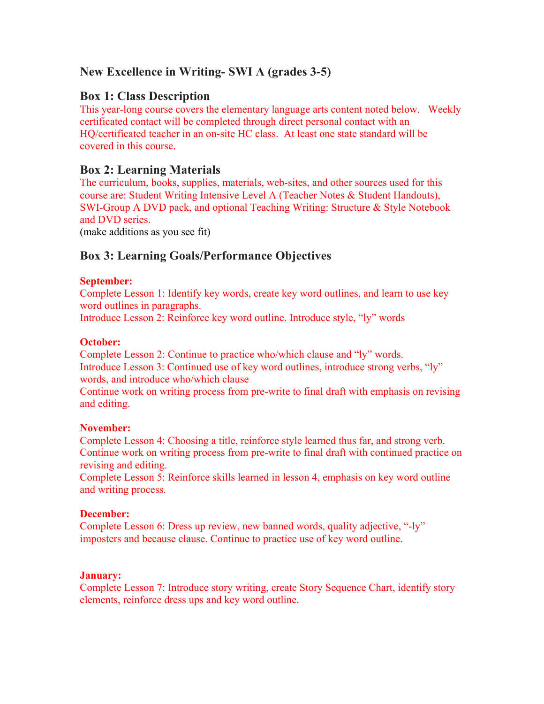# **New Excellence in Writing- SWI A (grades 3-5)**

## **Box 1: Class Description**

This year-long course covers the elementary language arts content noted below. Weekly certificated contact will be completed through direct personal contact with an HQ/certificated teacher in an on-site HC class. At least one state standard will be covered in this course.

# **Box 2: Learning Materials**

The curriculum, books, supplies, materials, web-sites, and other sources used for this course are: Student Writing Intensive Level A (Teacher Notes & Student Handouts), SWI-Group A DVD pack, and optional Teaching Writing: Structure & Style Notebook and DVD series.

(make additions as you see fit)

# **Box 3: Learning Goals/Performance Objectives**

#### **September:**

Complete Lesson 1: Identify key words, create key word outlines, and learn to use key word outlines in paragraphs.

Introduce Lesson 2: Reinforce key word outline. Introduce style, "ly" words

#### **October:**

Complete Lesson 2: Continue to practice who/which clause and "ly" words. Introduce Lesson 3: Continued use of key word outlines, introduce strong verbs, "ly" words, and introduce who/which clause

Continue work on writing process from pre-write to final draft with emphasis on revising and editing.

### **November:**

Complete Lesson 4: Choosing a title, reinforce style learned thus far, and strong verb. Continue work on writing process from pre-write to final draft with continued practice on revising and editing.

Complete Lesson 5: Reinforce skills learned in lesson 4, emphasis on key word outline and writing process.

### **December:**

Complete Lesson 6: Dress up review, new banned words, quality adjective, "-ly" imposters and because clause. Continue to practice use of key word outline.

#### **January:**

Complete Lesson 7: Introduce story writing, create Story Sequence Chart, identify story elements, reinforce dress ups and key word outline.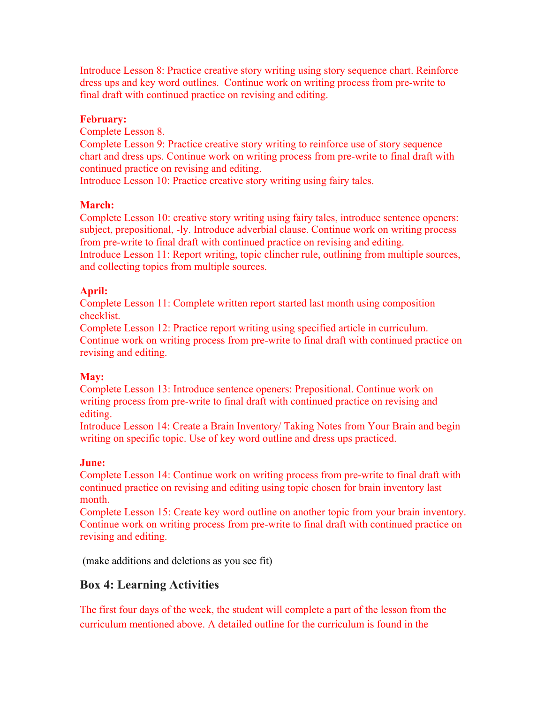Introduce Lesson 8: Practice creative story writing using story sequence chart. Reinforce dress ups and key word outlines. Continue work on writing process from pre-write to final draft with continued practice on revising and editing.

## **February:**

Complete Lesson 8.

Complete Lesson 9: Practice creative story writing to reinforce use of story sequence chart and dress ups. Continue work on writing process from pre-write to final draft with continued practice on revising and editing.

Introduce Lesson 10: Practice creative story writing using fairy tales.

## **March:**

Complete Lesson 10: creative story writing using fairy tales, introduce sentence openers: subject, prepositional, -ly. Introduce adverbial clause. Continue work on writing process from pre-write to final draft with continued practice on revising and editing. Introduce Lesson 11: Report writing, topic clincher rule, outlining from multiple sources, and collecting topics from multiple sources.

## **April:**

Complete Lesson 11: Complete written report started last month using composition checklist.

Complete Lesson 12: Practice report writing using specified article in curriculum. Continue work on writing process from pre-write to final draft with continued practice on revising and editing.

## **May:**

Complete Lesson 13: Introduce sentence openers: Prepositional. Continue work on writing process from pre-write to final draft with continued practice on revising and editing.

Introduce Lesson 14: Create a Brain Inventory/ Taking Notes from Your Brain and begin writing on specific topic. Use of key word outline and dress ups practiced.

## **June:**

Complete Lesson 14: Continue work on writing process from pre-write to final draft with continued practice on revising and editing using topic chosen for brain inventory last month.

Complete Lesson 15: Create key word outline on another topic from your brain inventory. Continue work on writing process from pre-write to final draft with continued practice on revising and editing.

(make additions and deletions as you see fit)

# **Box 4: Learning Activities**

The first four days of the week, the student will complete a part of the lesson from the curriculum mentioned above. A detailed outline for the curriculum is found in the